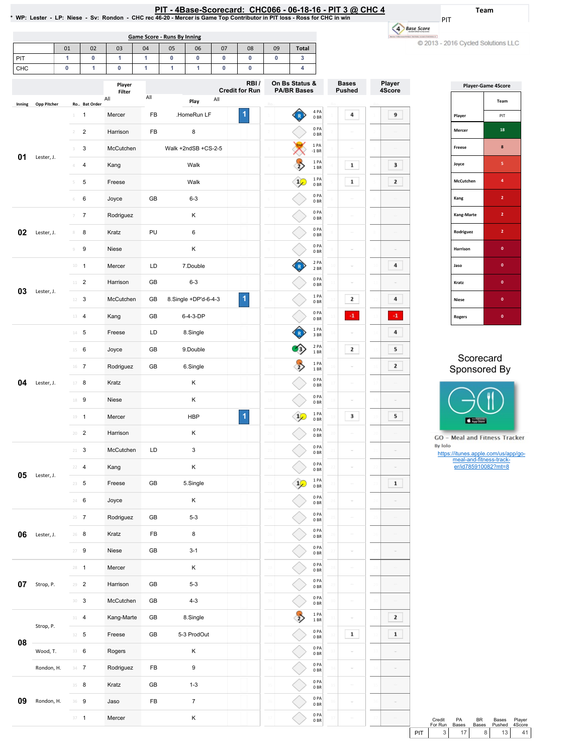|        |             |                      |                 | * WP: Lester - LP: Niese - Sv: Rondon - CHC rec 46-20 - Mercer is Game Top Contributor in PIT loss - Ross for CHC in win |                |                                    |                      |     |                               |                                      |                      |                                       | PIT - 4Base-Scorecard: CHC066 - 06-18-16 - PIT 3 @ CHC 4 |                  | PIT                                                                                   | Team                      |
|--------|-------------|----------------------|-----------------|--------------------------------------------------------------------------------------------------------------------------|----------------|------------------------------------|----------------------|-----|-------------------------------|--------------------------------------|----------------------|---------------------------------------|----------------------------------------------------------|------------------|---------------------------------------------------------------------------------------|---------------------------|
|        |             |                      |                 |                                                                                                                          |                | <b>Game Score - Runs By Inning</b> |                      |     |                               |                                      |                      |                                       |                                                          | 4 Base Score     |                                                                                       |                           |
|        |             | 01                   | 02              | 03                                                                                                                       | 04             | 05                                 | 06                   | 07  | 08                            | 09                                   | <b>Total</b>         |                                       |                                                          |                  | C 2013 - 2016 Cycled Solutions LLC                                                    |                           |
| PIT    |             | $\blacktriangleleft$ | $\bf{0}$        | 1                                                                                                                        | $\mathbf{1}$   | 0                                  | 0                    | 0   | $\pmb{0}$                     | 0                                    | $\mathbf{3}$         |                                       |                                                          |                  |                                                                                       |                           |
| CHC    |             | $\bf{0}$             | 1               | 0                                                                                                                        | 1              | 1                                  | 1                    | 0   | 0                             |                                      | 4                    |                                       |                                                          |                  |                                                                                       |                           |
|        |             |                      |                 | Player<br>Filter                                                                                                         | $\mathsf{All}$ |                                    |                      |     | RBI/<br><b>Credit for Run</b> | On Bs Status &<br><b>PA/BR Bases</b> |                      |                                       | <b>Bases</b><br><b>Pushed</b>                            | Player<br>4Score |                                                                                       | <b>Player-Game 4Score</b> |
| Inning | Opp Pitcher |                      | Ro Bat Order    | All                                                                                                                      |                |                                    | Play                 | All |                               |                                      |                      | 4 PA                                  |                                                          |                  |                                                                                       | Team                      |
|        |             |                      | $1 \quad 1$     | Mercer                                                                                                                   | FB             |                                    | .HomeRun LF          |     | 1                             |                                      | R                    | 0 <sub>BR</sub><br>0PA                | 4                                                        | 9                | Player                                                                                | PIT                       |
|        |             | $\overline{2}$       | $\overline{2}$  | Harrison                                                                                                                 | FB             |                                    | 8                    |     |                               |                                      |                      | 0 <sub>BR</sub>                       |                                                          |                  | Mercer                                                                                | ${\bf 18}$                |
| 01     | Lester, J.  | $3 -$                | 3               | McCutchen                                                                                                                |                |                                    | Walk +2ndSB +CS-2-5  |     |                               |                                      |                      | 1 PA<br>$-1$ BR                       | $\sim$                                                   |                  | Freese                                                                                | $\bf8$                    |
|        |             | $4 -$                | $\overline{4}$  | Kang                                                                                                                     |                |                                    | Walk                 |     |                               |                                      | $\overline{2}$       | 1PA<br>1BR                            | $\mathbf 1$                                              | 3                | Joyce                                                                                 | $\overline{\mathbf{5}}$   |
|        |             | 5                    | 5               | Freese                                                                                                                   |                |                                    | Walk                 |     |                               |                                      | $\mathcal{P}$        | 1 PA<br>0BR                           | $\mathbf 1$                                              | $\overline{2}$   | McCutchen                                                                             | $\overline{4}$            |
|        |             | $\,$ 6 $\,$          | 6               | Joyce                                                                                                                    | GB             |                                    | $6 - 3$              |     |                               |                                      |                      | 0PA<br>0BR                            |                                                          |                  | Kang                                                                                  | $\mathbf{2}$              |
|        |             | $7 -$                | $\overline{7}$  | Rodriguez                                                                                                                |                |                                    | К                    |     |                               |                                      |                      | 0PA<br>0BR                            | $\sim$                                                   |                  | Kang-Marte                                                                            | $\mathbf{2}^-$            |
| 02     | Lester, J.  | 8                    | 8               | Kratz                                                                                                                    | PU             |                                    | 6                    |     |                               |                                      |                      | 0PA<br>0BR                            |                                                          |                  | Rodriguez                                                                             | $\mathbf{2}^-$            |
|        |             | 9                    | 9               | Niese                                                                                                                    |                |                                    | К                    |     |                               |                                      |                      | 0PA<br>0BR                            | $\sim$                                                   |                  | Harrison                                                                              | $\pmb{0}$                 |
|        |             |                      | $10 - 1$        | Mercer                                                                                                                   | LD             |                                    | 7.Double             |     |                               |                                      |                      | 2 PA<br>2 BR                          | ò.                                                       | 4                | Jaso                                                                                  | $\pmb{0}$                 |
|        |             |                      | $11$ – $2$      | Harrison                                                                                                                 | GB             |                                    | $6 - 3$              |     |                               |                                      |                      | 0PA<br>0BR                            |                                                          |                  | Kratz                                                                                 | $\mathbf 0$               |
| 03     | Lester, J.  |                      | $12 - 3$        | McCutchen                                                                                                                | GB             |                                    | 8.Single +DP'd-6-4-3 |     | $\blacktriangleleft$          |                                      |                      | 1 PA<br>0BR                           | $\mathbf{z}$                                             | 4                | <b>Niese</b>                                                                          | $\pmb{0}$                 |
|        |             |                      | $13 - 4$        | Kang                                                                                                                     | GB             |                                    | 6-4-3-DP             |     |                               |                                      |                      | 0PA<br>0BR                            | $\cdot 1$                                                | $-1$             | Rogers                                                                                | $\pmb{0}$                 |
|        |             |                      | $14 - 5$        | Freese                                                                                                                   | LD             |                                    | 8.Single             |     |                               |                                      |                      | 1PA<br>3BR                            |                                                          | 4                |                                                                                       |                           |
|        |             |                      | $15 \t 6$       | Joyce                                                                                                                    | GB             |                                    | 9.Double             |     |                               |                                      | 3                    | 2 PA<br>1BR                           | $\mathbf{2}$                                             | 5                |                                                                                       |                           |
|        |             |                      | $16$ 7          | Rodriguez                                                                                                                | GB             |                                    | 6.Single             |     |                               |                                      | $\frac{1}{2}$        | 1 PA<br>1BR                           |                                                          | $\overline{2}$   | Scorecard<br>Sponsored By                                                             |                           |
| 04     | Lester, J.  |                      | $17 - 8$        | Kratz                                                                                                                    |                |                                    | Κ                    |     |                               |                                      |                      | 0PA<br>0BR                            |                                                          |                  |                                                                                       |                           |
|        |             |                      | 18 9            | Niese                                                                                                                    |                |                                    | Κ                    |     |                               |                                      |                      | 0PA<br>0B                             |                                                          |                  |                                                                                       |                           |
|        |             |                      | $19 - 1$        | Mercer                                                                                                                   |                |                                    | <b>HBP</b>           |     | $\overline{\mathbf{1}}$       |                                      | $\frac{1}{2}$        | 1 PA                                  | 3                                                        | 5                |                                                                                       |                           |
|        |             |                      | $20 \t 2$       | Harrison                                                                                                                 |                |                                    | K                    |     |                               |                                      |                      | 0B<br>0PA                             |                                                          |                  | App Store                                                                             |                           |
|        |             |                      | $21 - 3$        | McCutchen                                                                                                                | LD             |                                    | $\mathbf{3}$         |     |                               |                                      |                      | $0\;\mathrm{BR}$<br>$0$ PA            |                                                          |                  | GO - Meal and Fitness Tracker<br>By Iolo                                              |                           |
|        |             |                      |                 |                                                                                                                          |                |                                    |                      |     |                               |                                      |                      | 0B<br>0 PA                            |                                                          |                  | https://itunes.apple.com/us/app/go-<br>meal-and-fitness-track-<br>er/id785910082?mt=8 |                           |
| 05     | Lester, J.  |                      | $22 - 4$        | Kang                                                                                                                     |                |                                    | Κ                    |     |                               |                                      |                      | $0\;\mathrm{BR}$<br>1 PA              | $\bar{m}$                                                |                  |                                                                                       |                           |
|        |             |                      | $23 - 5$        | Freese                                                                                                                   | GB             |                                    | 5.Single             |     |                               |                                      | $\frac{1}{2}$        | 0BR<br>0PA                            | $\bar{m}$                                                | $\mathbf{1}$     |                                                                                       |                           |
|        |             |                      | $24 - 6$        | Joyce                                                                                                                    |                |                                    | Κ                    |     |                               |                                      |                      | 0B<br>0PA                             | $\bar{m}$                                                |                  |                                                                                       |                           |
|        |             |                      | $25 \t 7$       | Rodriguez                                                                                                                | GB             |                                    | $5 - 3$              |     |                               |                                      |                      | 0B                                    | $\bar{a}$                                                |                  |                                                                                       |                           |
| 06     | Lester, J.  |                      | $26$ 8          | Kratz                                                                                                                    | FB             |                                    | 8                    |     |                               |                                      |                      | 0PA<br>0B                             | $\sim$                                                   |                  |                                                                                       |                           |
|        |             |                      | $27 - 9$        | Niese                                                                                                                    | $\mathsf{GB}$  |                                    | $3 - 1$              |     |                               |                                      |                      | 0PA<br>0B                             |                                                          |                  |                                                                                       |                           |
|        |             |                      | $28 - 1$        | Mercer                                                                                                                   |                |                                    | Κ                    |     |                               |                                      |                      | 0PA<br>0 <sub>BR</sub>                |                                                          |                  |                                                                                       |                           |
| 07     | Strop, P.   |                      | $29 - 2$        | Harrison                                                                                                                 | GB             |                                    | $5 - 3$              |     |                               |                                      |                      | 0PA<br>$0\;\mathrm{BR}$               |                                                          |                  |                                                                                       |                           |
|        |             |                      | 30 <sup>3</sup> | McCutchen                                                                                                                | GB             |                                    | $4 - 3$              |     |                               |                                      |                      | 0PA<br>0B                             |                                                          |                  |                                                                                       |                           |
|        |             |                      | $31 - 4$        | Kang-Marte                                                                                                               | GB             |                                    | 8.Single             |     |                               |                                      | $\overrightarrow{2}$ | 1 PA<br>1BR                           |                                                          | $\overline{2}$   |                                                                                       |                           |
|        | Strop, P.   |                      | $32 - 5$        | Freese                                                                                                                   | GB             |                                    | 5-3 ProdOut          |     |                               |                                      |                      | 0PA<br>0BR                            | $\mathbf{1}$                                             | $\mathbf{1}$     |                                                                                       |                           |
| 08     | Wood, T.    |                      | 33 6            | Rogers                                                                                                                   |                |                                    | Κ                    |     |                               |                                      |                      | 0PA<br>$0\;\mathrm{BR}$               | $\sim$                                                   |                  |                                                                                       |                           |
|        | Rondon, H.  |                      | $34 - 7$        | Rodriguez                                                                                                                | FB             |                                    | $\boldsymbol{9}$     |     |                               |                                      |                      | 0PA<br>0B                             | $\bar{m}$                                                | $\sim$           |                                                                                       |                           |
|        |             |                      | $35 - 8$        | Kratz                                                                                                                    | GB             |                                    | $1 - 3$              |     |                               |                                      |                      | 0 PA<br>$0\;\ensuremath{\mathsf{BR}}$ | $\sim$                                                   |                  |                                                                                       |                           |
| 09     | Rondon, H.  |                      | 36 9            | Jaso                                                                                                                     | FB             |                                    | $\overline{7}$       |     |                               |                                      |                      | $0$ PA<br>$0\;\mathrm{BR}$            |                                                          |                  |                                                                                       |                           |
|        |             |                      | $37 - 1$        | Mercer                                                                                                                   |                |                                    | Κ                    |     |                               |                                      |                      | 0PA<br>0BR                            |                                                          |                  | PA<br>Credit<br>BR                                                                    | Bases Player              |
|        |             |                      |                 |                                                                                                                          |                |                                    |                      |     |                               |                                      |                      |                                       |                                                          |                  |                                                                                       |                           |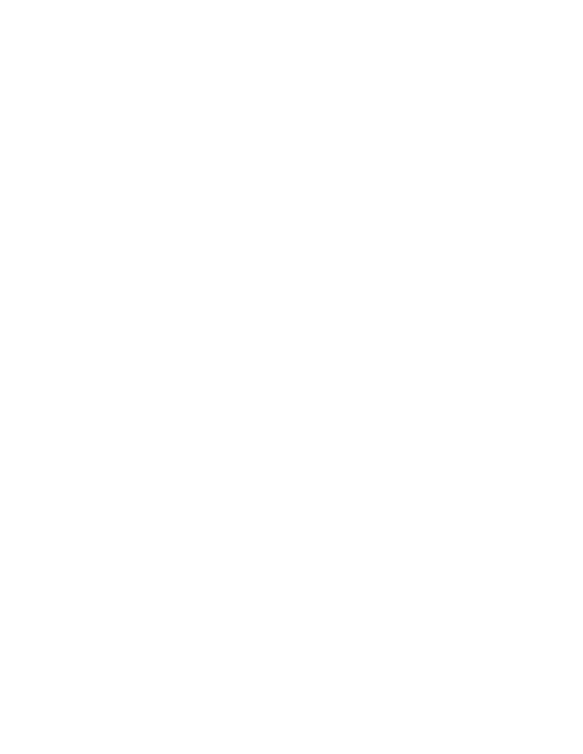|                |                  |    |                    |                                           | <u>' u ^ } Œr Zµv• Ç/vv]v</u> P |            |    |                               |              |                         |    |                                             |                  |                  |                      |
|----------------|------------------|----|--------------------|-------------------------------------------|---------------------------------|------------|----|-------------------------------|--------------|-------------------------|----|---------------------------------------------|------------------|------------------|----------------------|
|                |                  | ìí | ìî                 | ÌΪ                                        | ìð                              |            | ìñ | ìò                            | ìó           | ìô                      | ìõ | $d$ } š o                                   |                  |                  |                      |
| 3,7<br>$8 + 8$ |                  |    |                    |                                           |                                 |            |    |                               |              |                         |    |                                             |                  |                  |                      |
|                |                  |    |                    | Wb Ç Œ<br>&još Œ                          |                                 |            |    |                               |              | $5\%$<br>& UHGLWIRU5 XQ |    | 2 Q%V 6 VDWV<br>3\$ %5 %DVHV                | %DVHV<br>3 XVKHG | 3 ON HU<br>6FRUH |                      |
|                | /vv]vP K‰W)\$Z0E |    | Z} XX ŠKOE O       | Φ                                         | $\pmb{\circledcirc}$            |            |    | WoÇ                           | $^\circledR$ |                         |    |                                             |                  |                  |                      |
|                |                  |    | $\mathbf{f}$       | 0 HJHJ                                    |                                 | ) %        |    | $+RP$ H <sub>5</sub> XQ/ $)$  |              |                         |    | ðW<br>ì Z                                   |                  |                  |                      |
|                |                  |    | $\hat{1}$          | $+ DULARQ$                                |                                 | ) %        |    |                               |              |                         |    | i W<br>i Z                                  |                  |                  |                      |
|                | >•šOBX           |    | $\top$             | 0 F&XMRKHQ                                |                                 |            |    | : DON: QG6% &6                |              |                         |    | í W<br>rí Z                                 |                  |                  |                      |
|                |                  |    | ð                  | . DQJ                                     |                                 |            |    | $\therefore$ DON              |              |                         |    | í W<br>$i$ $z$                              |                  |                  |                      |
|                |                  |    | ñ                  | $)$ UHMH                                  |                                 |            |    | $\therefore$ DON              |              |                         |    | í W<br>ì Z<br>ì W                           |                  |                  |                      |
|                |                  |    | ò                  | $-R$ FH                                   |                                 | $*$ %      |    |                               |              |                         |    | ì Z                                         |                  |                  |                      |
|                |                  |    | ó                  | 5 RGUUXH                                  |                                 |            |    | $\blacksquare$                |              |                         |    | ì W<br>i Z<br>ì W                           |                  |                  |                      |
|                | >•šOBX           |    | $\hat{O}$          | .UDW                                      |                                 | 38         |    |                               |              |                         |    | ì Z                                         |                  |                  |                      |
|                | >•šOBX           |    | $\tilde{\text{O}}$ | 1 LHMH                                    |                                 |            |    | $\sim$                        |              |                         |    | i W<br>$i$ Z                                |                  |                  |                      |
|                |                  |    | f)                 | 0 HJHJ                                    |                                 | $\prime$ . |    | ' RXE®                        |              |                         |    | îW<br>îZ                                    |                  |                  |                      |
|                |                  |    | i i                | + DUILVRQ                                 |                                 | $*$ %      |    |                               |              |                         |    | i W<br>ì Z                                  |                  |                  |                      |
|                |                  |    | íî                 | 0 F&XMRKHQ                                |                                 | $^*$ %     |    | 6LQJOH '3G                    |              |                         |    | í W<br>ì Z                                  |                  |                  |                      |
|                |                  |    | íï                 | $.$ DQJ                                   |                                 | $*$ %      |    | $^{\prime}$ 3                 |              |                         |    | i W<br>ì Z                                  |                  |                  |                      |
|                |                  |    | íð                 | $)$ UHMH                                  |                                 | $\prime$ . |    | 6 LQJ <del>0</del> 1          |              |                         |    | í W<br>ï Z                                  |                  |                  |                      |
|                |                  |    | íñ                 | - R\FH                                    |                                 | $*$ %      |    | ' RXE®                        |              |                         |    | îW<br>í Z                                   |                  |                  |                      |
|                |                  |    | íò                 | 5 RGUUXH                                  |                                 | $*$ %      |    | $61QJ$ $OH$                   |              |                         |    | í W<br>$i$ $z$                              |                  |                  |                      |
|                | > ∙š OBX         |    | íó                 | . UDW                                     |                                 |            |    | $\sim$                        |              |                         |    | ìW<br>ì Z                                   |                  |                  |                      |
|                |                  |    | íô                 | 1 LHMH                                    |                                 |            |    | $\sim$                        |              |                         |    | ìW<br>$i$ z                                 |                  |                  |                      |
|                |                  |    | íõ                 | 0 HJHU                                    |                                 |            |    | $+ \%3$                       |              |                         |    | í W<br>ì Z                                  |                  |                  |                      |
|                |                  |    | $\hat{+}$          | + DUILARQ                                 |                                 |            |    | $\sim$                        |              |                         |    | ì W<br>$i$ Z                                |                  |                  |                      |
|                |                  |    | îí                 | 0 F&XMFKHQ                                | $\prime$ .                      |            |    |                               |              |                         |    | ì W<br>ì Z                                  |                  |                  | $\underline{\kappa}$ |
|                | >•šOBX           |    | ÎÎ                 | . $DQJ$                                   |                                 |            |    | $\sim$                        |              |                         |    | $\begin{array}{c} i\ W \\ i\ Z \end{array}$ |                  |                  |                      |
|                |                  |    | ÎΪ                 | ) UHMH                                    |                                 | $^*$ %     |    | $61QJ$ $\Theta$               |              |                         |    | í W<br>$i$ Z                                |                  |                  |                      |
|                |                  |    | îŏ                 | $-R$ FH                                   |                                 |            |    | $\mathcal{A}^{\mathcal{A}}$ . |              |                         |    | i W<br>$i$ Z                                |                  |                  |                      |
|                |                  |    | îñ                 | 5 RGWXH                                   |                                 | $*$ %      |    |                               |              |                         |    | i W<br>$i$ Z                                |                  |                  |                      |
|                | >•šOBX           |    | îò                 | . UDW                                     |                                 | ) %        |    |                               |              |                         |    | ìW<br>$i$ Z                                 |                  |                  |                      |
|                |                  |    | îó                 | 1 LHMH                                    |                                 | $*$ %      |    |                               |              |                         |    | ì W<br>$i$ Z                                |                  |                  |                      |
|                |                  |    | îô                 | 0 HJHJ                                    |                                 |            |    | $\cdot$                       |              |                         |    | ì W<br>$i$ Z                                |                  |                  |                      |
|                | ^šQP%WX          |    | ÎÕ                 | + DUILARQ                                 |                                 | $*$ %      |    |                               |              |                         |    | ì W<br>ì Z                                  |                  |                  |                      |
|                |                  |    | Tì.                | 0 F&XMFKHQ                                |                                 | $*$ %      |    |                               |              |                         |    | ìW<br>ìZ                                    |                  |                  |                      |
|                | ^šQP%WX          |    | ΪÍ                 | . DQJ 0 DUM                               |                                 | $*$ %      |    | $61QJ$ $OH$                   |              |                         |    | í W<br>$i$ $z$                              |                  |                  |                      |
|                |                  |    | ΪÎ                 | $)$ UHMH                                  |                                 | $*$ %      |    | 3 URG2 XW                     |              |                         |    | ì W<br>ì Z                                  |                  |                  |                      |
|                | t }} UdX         |    | $-11$              | 5 RJHU/                                   |                                 |            |    | $\sim$                        |              |                         |    | ì W<br>ìZ                                   |                  |                  |                      |
|                | Z}v }vU X ið     |    |                    | 5 RGWXH                                   |                                 | ) %        |    |                               |              |                         |    | ì W<br>ìZ                                   |                  |                  |                      |
|                |                  |    | ïñ                 | . UDW                                     |                                 | $*$ %      |    |                               |              |                         |    | ì W<br>$i$ Z                                |                  |                  |                      |
|                | Z}v }vU X iò     |    |                    | $-D$ <sub><math>\overline{R}</math></sub> |                                 | ) %        |    |                               |              |                         |    | ì W<br>$i$ Z                                |                  |                  |                      |
|                |                  |    | ΪÓ                 | 0 HJHJ                                    |                                 |            |    | $\sim$                        |              |                         |    | ì W<br>$i \, z$                             |                  |                  | &UHO<br>RU5          |

: 3 / HWMU /3 1LHVH 6Y 5ROGRQ & +& UF 0 HUFHULY\*DPH7RS&ROMLEXMULQ3,7 0RW 5RWIRU&+&LQZLQ

WoÇOE u ð^}Œ  $d - u$ Wo Ç Œ Wd  $\mathsf{D} \ \mathsf{CE} \times \mathsf{CE}$ íô  $\alpha$ <sub>c</sub> .  $\hat{\mathbf{o}}$ :} $\mathcal{G}$  $D - \mu \check{s} Z v$  $\lt vP$  $\lt$  vPD OE z} opeµ ì ,  $\mathbb{Q}$  is  $\vee$  $\langle \bullet \rangle$  $<$ ŒsÌ  $\mathsf{E}]\bullet$  $Z \nbrace P \nbrace C E$ 

# 6 FRU<del>IT</del>DUG **6 SROVRUHG%**

<u>WORY LWACHYDSSOPIFRPXYDSSJR</u><br>PHOCOGGILWORHWWODFN<br><u>HULG "PW</u>

d u

Wid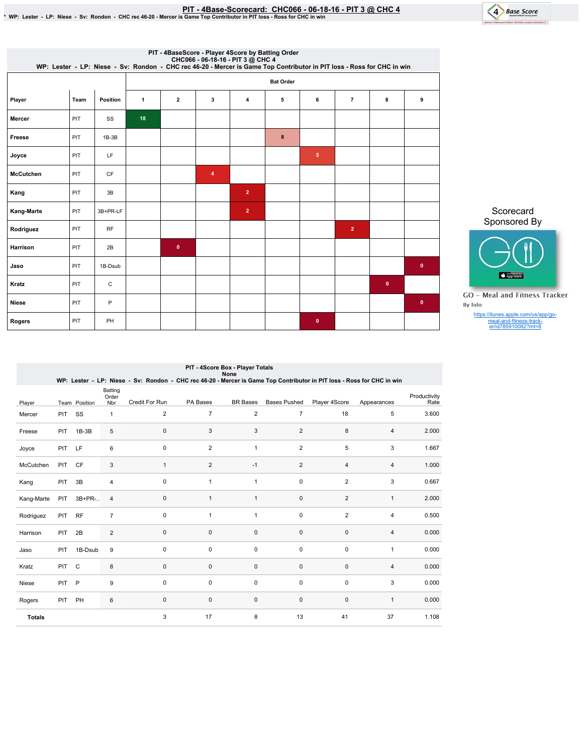PIT - 4Base-Scorecard: CHC066 - 06-18-16 - PIT 3 @ CHC 4 - 4D. PHT + 4Base-Scorecard: CHC066 - 06-18-16 - PIT<br>\* WP: Lester - LP: Niese - Sv: Rondon - CHC rec 46-20 - Mercer is Game Top Contributor in PIT loss - Ross for CH



|                  | PIT - 4BaseScore - Player 4Score by Batting Order<br>CHC066 - 06-18-16 - PIT 3 @ CHC 4<br>WP: Lester - LP: Niese - Sv: Rondon - CHC rec 46-20 - Mercer is Game Top Contributor in PIT loss - Ross for CHC in win |              |                  |                         |                         |                |   |              |                |           |              |  |  |  |
|------------------|------------------------------------------------------------------------------------------------------------------------------------------------------------------------------------------------------------------|--------------|------------------|-------------------------|-------------------------|----------------|---|--------------|----------------|-----------|--------------|--|--|--|
|                  |                                                                                                                                                                                                                  |              | <b>Bat Order</b> |                         |                         |                |   |              |                |           |              |  |  |  |
| Player           | Team                                                                                                                                                                                                             | Position     | 1                | $\overline{\mathbf{2}}$ | 3                       | 4              | 5 | 6            | $\overline{7}$ | 8         | 9            |  |  |  |
| Mercer           | PIT                                                                                                                                                                                                              | SS           | 18               |                         |                         |                |   |              |                |           |              |  |  |  |
| Freese           | PIT                                                                                                                                                                                                              | $1B-3B$      |                  |                         |                         |                | 8 |              |                |           |              |  |  |  |
| Joyce            | PIT                                                                                                                                                                                                              | LF           |                  |                         |                         |                |   | 5            |                |           |              |  |  |  |
| <b>McCutchen</b> | PIT                                                                                                                                                                                                              | <b>CF</b>    |                  |                         | $\overline{\mathbf{4}}$ |                |   |              |                |           |              |  |  |  |
| Kang             | PIT                                                                                                                                                                                                              | 3B           |                  |                         |                         | $\overline{2}$ |   |              |                |           |              |  |  |  |
| Kang-Marte       | PIT                                                                                                                                                                                                              | 3B+PR-LF     |                  |                         |                         | $\overline{2}$ |   |              |                |           |              |  |  |  |
| Rodriguez        | PIT                                                                                                                                                                                                              | <b>RF</b>    |                  |                         |                         |                |   |              | $\overline{2}$ |           |              |  |  |  |
| <b>Harrison</b>  | PIT                                                                                                                                                                                                              | 2B           |                  | $\mathbf{0}$            |                         |                |   |              |                |           |              |  |  |  |
| Jaso             | PIT                                                                                                                                                                                                              | 1B-Dsub      |                  |                         |                         |                |   |              |                |           | $\mathbf{0}$ |  |  |  |
| Kratz            | PIT                                                                                                                                                                                                              | $\mathsf{C}$ |                  |                         |                         |                |   |              |                | $\bullet$ |              |  |  |  |
| <b>Niese</b>     | PIT                                                                                                                                                                                                              | P            |                  |                         |                         |                |   |              |                |           | $\bullet$    |  |  |  |
| Rogers           | PIT                                                                                                                                                                                                              | PH           |                  |                         |                         |                |   | $\mathbf{0}$ |                |           |              |  |  |  |





**GO** - Meal and Fitness Tracker By Iolo



## PIT - 4Score Box - Player Totals

|               |     |               |                         | WP: Lester - LP: Niese - Sv: Rondon - CHC rec 46-20 - Mercer is Game Top Contributor in PIT loss - Ross for CHC in win |                | None            |                     |                         |                |                      |
|---------------|-----|---------------|-------------------------|------------------------------------------------------------------------------------------------------------------------|----------------|-----------------|---------------------|-------------------------|----------------|----------------------|
| Player        |     | Team Position | Batting<br>Order<br>Nbr | Credit For Run                                                                                                         | PA Bases       | <b>BR</b> Bases | <b>Bases Pushed</b> | Player 4Score           | Appearances    | Productivity<br>Rate |
| Mercer        | PIT | SS            | $\mathbf{1}$            | 2                                                                                                                      | $\overline{7}$ | $\overline{2}$  | $\overline{7}$      | 18                      | 5              | 3.600                |
| Freese        | PIT | $1B-3B$       | 5                       | 0                                                                                                                      | 3              | 3               | $\overline{2}$      | 8                       | 4              | 2.000                |
| Joyce         | PIT | LF            | 6                       | 0                                                                                                                      | $\overline{2}$ | $\mathbf{1}$    | $\overline{2}$      | 5                       | 3              | 1.667                |
| McCutchen     | PIT | CF            | 3                       | 1                                                                                                                      | $\overline{2}$ | $-1$            | $\overline{2}$      | 4                       | 4              | 1.000                |
| Kang          | PIT | 3B            | 4                       | 0                                                                                                                      | 1              | $\mathbf{1}$    | $\mathbf 0$         | $\overline{2}$          | 3              | 0.667                |
| Kang-Marte    | PIT | 3B+PR-        | $\overline{4}$          | 0                                                                                                                      | 1              | 1               | $\pmb{0}$           | $\overline{2}$          | $\mathbf{1}$   | 2.000                |
| Rodriguez     | PIT | <b>RF</b>     | $\overline{7}$          | 0                                                                                                                      | $\mathbf{1}$   | $\mathbf{1}$    | $\mathbf 0$         | $\overline{\mathbf{c}}$ | $\overline{4}$ | 0.500                |
| Harrison      | PIT | 2B            | $\overline{2}$          | 0                                                                                                                      | $\mathbf 0$    | $\pmb{0}$       | $\pmb{0}$           | 0                       | 4              | 0.000                |
| Jaso          | PIT | 1B-Dsub       | 9                       | 0                                                                                                                      | $\mathbf 0$    | $\mathbf 0$     | $\mathbf 0$         | $\pmb{0}$               | $\mathbf{1}$   | 0.000                |
| Kratz         | PIT | $\mathsf{C}$  | 8                       | 0                                                                                                                      | $\mathbf 0$    | $\mathbf 0$     | $\pmb{0}$           | $\mathbf 0$             | 4              | 0.000                |
| Niese         | PIT | P             | 9                       | 0                                                                                                                      | $\mathbf 0$    | 0               | $\mathbf 0$         | 0                       | 3              | 0.000                |
| Rogers        | PIT | PH            | 6                       | 0                                                                                                                      | $\mathbf 0$    | 0               | $\pmb{0}$           | $\pmb{0}$               | $\mathbf{1}$   | 0.000                |
| <b>Totals</b> |     |               |                         | 3                                                                                                                      | 17             | 8               | 13                  | 41                      | 37             | 1.108                |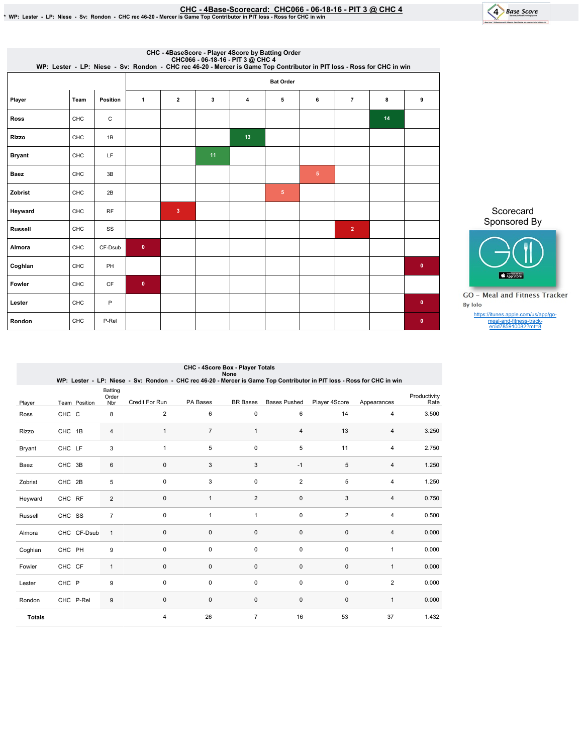EHC - 4Base-Scorecard: CHC066 - 06-18-16 - PIT 3 @ CHC 4 - \$ % CHC04<br>\* WP: Lester - LP: Niese - Sv: Rondon - CHC rec 46-20 - Mercer is Game Top Contributor in PIT loss - Ross for CHC in win



|                | CHC - 4BaseScore - Player 4Score by Batting Order<br>CHC066 - 06-18-16 - PIT 3 @ CHC 4<br>WP: Lester - LP: Niese - Sv: Rondon - CHC rec 46-20 - Mercer is Game Top Contributor in PIT loss - Ross for CHC in win |                 |                  |                         |    |                     |                |                |                |    |              |  |  |
|----------------|------------------------------------------------------------------------------------------------------------------------------------------------------------------------------------------------------------------|-----------------|------------------|-------------------------|----|---------------------|----------------|----------------|----------------|----|--------------|--|--|
|                |                                                                                                                                                                                                                  |                 | <b>Bat Order</b> |                         |    |                     |                |                |                |    |              |  |  |
| Player         | Team                                                                                                                                                                                                             | <b>Position</b> | 1                | $\overline{2}$          | 3  | $\overline{\bf{4}}$ | 5              | 6              | $\overline{7}$ | 8  | 9            |  |  |
| <b>Ross</b>    | CHC                                                                                                                                                                                                              | $\mathbf C$     |                  |                         |    |                     |                |                |                | 14 |              |  |  |
| <b>Rizzo</b>   | CHC                                                                                                                                                                                                              | 1B              |                  |                         |    | 13                  |                |                |                |    |              |  |  |
| <b>Bryant</b>  | CHC                                                                                                                                                                                                              | LF              |                  |                         | 11 |                     |                |                |                |    |              |  |  |
| Baez           | CHC                                                                                                                                                                                                              | 3B              |                  |                         |    |                     |                | 5 <sub>5</sub> |                |    |              |  |  |
| Zobrist        | CHC                                                                                                                                                                                                              | 2B              |                  |                         |    |                     | 5 <sub>5</sub> |                |                |    |              |  |  |
| Heyward        | CHC                                                                                                                                                                                                              | <b>RF</b>       |                  | $\overline{\mathbf{3}}$ |    |                     |                |                |                |    |              |  |  |
| <b>Russell</b> | CHC                                                                                                                                                                                                              | SS              |                  |                         |    |                     |                |                | $\overline{2}$ |    |              |  |  |
| Almora         | CHC                                                                                                                                                                                                              | CF-Dsub         | $\mathbf{0}$     |                         |    |                     |                |                |                |    |              |  |  |
| Coghlan        | CHC                                                                                                                                                                                                              | PH              |                  |                         |    |                     |                |                |                |    | $\mathbf 0$  |  |  |
| Fowler         | CHC                                                                                                                                                                                                              | <b>CF</b>       | $\mathbf{0}$     |                         |    |                     |                |                |                |    |              |  |  |
| Lester         | CHC                                                                                                                                                                                                              | P               |                  |                         |    |                     |                |                |                |    | $\mathbf{0}$ |  |  |
| Rondon         | CHC                                                                                                                                                                                                              | P-Rel           |                  |                         |    |                     |                |                |                |    | $\mathbf 0$  |  |  |

Scorecard Sponsored By



**GO** - Meal and Fitness Tracker By Iolo

https://itunes.apple.com/us/app/go-meal-and-fitness-track-er/id785910082?mt=8

| CHC - 4Score Box - Player Totals<br>None<br>WP:  Lester  -  LP:  Niese  -  Sv:  Rondon  -  CHC rec 46-20 - Mercer is Game Top Contributor in PIT loss - Ross for CHC in win |  |  |  |  |  |  |  |
|-----------------------------------------------------------------------------------------------------------------------------------------------------------------------------|--|--|--|--|--|--|--|
|                                                                                                                                                                             |  |  |  |  |  |  |  |
|                                                                                                                                                                             |  |  |  |  |  |  |  |

| Player        | Team Position | Batting<br>Order<br>Nbr | Credit For Run | PA Bases       | <b>BR</b> Bases | <b>Bases Pushed</b>     | Player 4Score | Appearances    | Productivity<br>Rate |
|---------------|---------------|-------------------------|----------------|----------------|-----------------|-------------------------|---------------|----------------|----------------------|
| Ross          | CHC C         | 8                       | $\overline{2}$ | 6              | $\mathbf 0$     | 6                       | 14            | 4              | 3.500                |
| Rizzo         | CHC 1B        | 4                       | $\mathbf{1}$   | $\overline{7}$ | $\mathbf{1}$    | $\overline{\mathbf{4}}$ | 13            | $\overline{4}$ | 3.250                |
| Bryant        | CHC LF        | 3                       | 1              | 5              | $\mathbf 0$     | 5                       | 11            | 4              | 2.750                |
| Baez          | CHC 3B        | 6                       | $\pmb{0}$      | 3              | 3               | $-1$                    | 5             | $\overline{4}$ | 1.250                |
| Zobrist       | CHC 2B        | 5                       | $\mathbf 0$    | 3              | $\mathbf 0$     | $\overline{c}$          | 5             | $\overline{4}$ | 1.250                |
| Heyward       | CHC RF        | $\sqrt{2}$              | 0              | $\mathbf{1}$   | $\overline{2}$  | $\pmb{0}$               | 3             | $\overline{4}$ | 0.750                |
| Russell       | CHC SS        | $\overline{7}$          | $\mathbf 0$    | $\mathbf{1}$   | $\mathbf{1}$    | $\mathbf 0$             | 2             | $\overline{4}$ | 0.500                |
| Almora        | CHC CF-Dsub   | $\mathbf{1}$            | 0              | $\pmb{0}$      | $\mathbf 0$     | $\pmb{0}$               | $\pmb{0}$     | 4              | 0.000                |
| Coghlan       | CHC PH        | 9                       | $\pmb{0}$      | $\pmb{0}$      | $\mathbf 0$     | 0                       | $\pmb{0}$     | $\mathbf{1}$   | 0.000                |
| Fowler        | CHC CF        | $\mathbf{1}$            | $\pmb{0}$      | $\pmb{0}$      | $\mathbf 0$     | $\pmb{0}$               | $\pmb{0}$     | $\mathbf{1}$   | 0.000                |
| Lester        | CHC P         | 9                       | $\mathbf 0$    | $\pmb{0}$      | $\mathbf 0$     | 0                       | $\pmb{0}$     | $\overline{2}$ | 0.000                |
| Rondon        | CHC P-Rel     | 9                       | $\mathbf 0$    | $\mathbf 0$    | $\mathbf 0$     | $\pmb{0}$               | $\pmb{0}$     | $\mathbf{1}$   | 0.000                |
| <b>Totals</b> |               |                         | 4              | 26             | $\overline{7}$  | 16                      | 53            | 37             | 1.432                |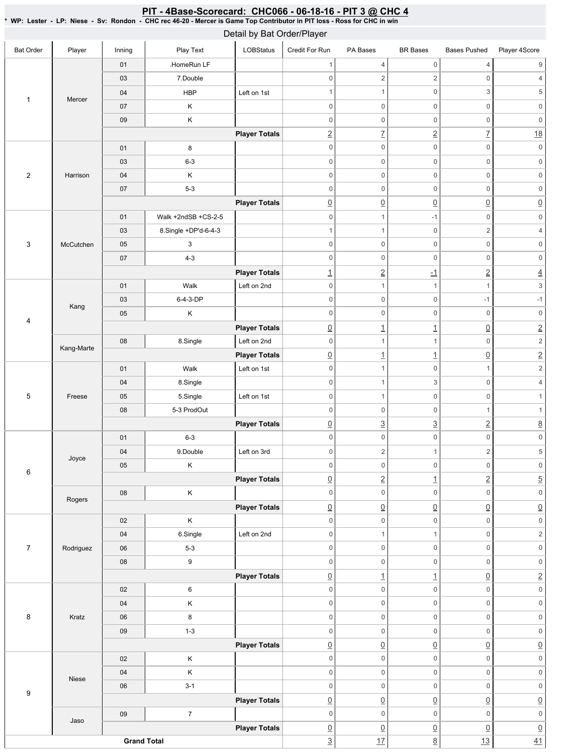## <u>PIT - 4Base-Scorecard: CHC066 - 06-18-16 - PIT 3 @ CHC 4</u>

\* WP: Lester-LP: Niese-Sv: Rondon-CHC rec 46-20 - Mercer is Game Top Contributor in PIT loss - Ross for CHC in win

|                  |            |                    |                           | Detail by Bat Order/Player |                 |                          |                           |                           |                           |
|------------------|------------|--------------------|---------------------------|----------------------------|-----------------|--------------------------|---------------------------|---------------------------|---------------------------|
| <b>Bat Order</b> | Player     | Inning             | Play Text                 | LOBStatus                  | Credit For Run  | PA Bases                 | <b>BR Bases</b>           | <b>Bases Pushed</b>       | Player 4Score             |
|                  |            | 01                 | .HomeRun LF               |                            | $\mathbf{1}$    | $\overline{4}$           | $\mathbf 0$               | $\overline{4}$            | 9                         |
|                  |            | 03                 | 7.Double                  |                            | $\mathbf 0$     | $\overline{2}$           | $\sqrt{2}$                | $\mathbf 0$               | $\overline{4}$            |
|                  |            | 04                 | <b>HBP</b>                | Left on 1st                | $\mathbf{1}$    | $\mathbf{1}$             | $\mathbf 0$               | $\ensuremath{\mathsf{3}}$ | 5                         |
| $\mathbf 1$      | Mercer     | 07                 | Κ                         |                            | $\mathbf 0$     | $\mathbf 0$              | $\mathbf 0$               | $\mathbf 0$               | $\mathsf{O}\xspace$       |
|                  |            | 09                 | $\mathsf K$               |                            | $\mathbf 0$     | $\mathsf 0$              | $\mathbf 0$               | $\boldsymbol{0}$          | $\mathsf{0}$              |
|                  |            |                    |                           | <b>Player Totals</b>       | $\underline{2}$ | $\underline{7}$          | $\underline{2}$           | $\underline{\mathcal{I}}$ | 18                        |
|                  |            | 01                 | 8                         |                            | $\mathbf 0$     | $\mathsf 0$              | $\mathsf 0$               | $\mathbb O$               | $\mathsf{O}\xspace$       |
|                  |            | 03                 | $6 - 3$                   |                            | $\mathbf 0$     | $\mathsf{O}\xspace$      | $\mathbf 0$               | $\mathbb O$               | $\mathsf{O}\xspace$       |
| $\overline{c}$   | Harrison   | 04                 | Κ                         |                            | $\mathbf 0$     | $\mathsf{O}\xspace$      | $\mathbf 0$               | $\mathbf 0$               | $\mathsf{O}\xspace$       |
|                  |            | $07\,$             | $5 - 3$                   |                            | $\mathbf 0$     | $\mathsf 0$              | $\mathbf 0$               | $\mathbb O$               | $\mathsf{0}$              |
|                  |            |                    |                           | <b>Player Totals</b>       | $\underline{0}$ | $\underline{0}$          | $\underline{0}$           | $\underline{0}$           | $\underline{0}$           |
|                  |            | 01                 | Walk +2ndSB +CS-2-5       |                            | $\mathbf 0$     | $\mathbf{1}$             | $-1$                      | $\mathbb O$               | $\mathsf{O}\xspace$       |
|                  |            | 03                 | 8.Single +DP'd-6-4-3      |                            | $\mathbf{1}$    | $\mathbf{1}$             | $\mathsf 0$               | $\sqrt{2}$                | $\overline{4}$            |
| 3                | McCutchen  | 05                 | $\ensuremath{\mathsf{3}}$ |                            | $\mathbf 0$     | $\mathbf 0$              | $\mathsf 0$               | $\mathsf{0}$              | $\mathsf{0}$              |
|                  |            | 07                 | $4 - 3$                   |                            | $\mathbf 0$     | $\mathbb O$              | $\mathbf 0$               | $\mathbf 0$               | $\mathsf{O}\xspace$       |
|                  |            |                    |                           | <b>Player Totals</b>       | $\overline{1}$  | $\underline{2}$          | $\overline{-1}$           | $\underline{2}$           | $\overline{4}$            |
|                  |            | 01                 | Walk                      | Left on 2nd                | $\mathbf 0$     | $\mathbf{1}$             | $\mathbf{1}$              | $\overline{1}$            | $\ensuremath{\mathsf{3}}$ |
|                  |            | 03                 | 6-4-3-DP                  |                            | $\mathbf 0$     | $\mathbb O$              | $\mathsf 0$               | $-1$                      | $-1$                      |
|                  | Kang       | 05                 | Κ                         |                            | $\mathbf 0$     | $\mathbb O$              | $\mathsf 0$               | $\mathsf{0}$              | $\mathsf{0}$              |
| 4                |            |                    |                           | <b>Player Totals</b>       | $\underline{0}$ | $\overline{1}$           | $\overline{1}$            | $\underline{0}$           | $\underline{2}$           |
|                  |            | 08                 | 8.Single                  | Left on 2nd                | $\mathbf 0$     | $\mathbf{1}$             | $\mathbf{1}$              | $\mathbf 0$               | $\overline{2}$            |
|                  | Kang-Marte |                    |                           | <b>Player Totals</b>       | $\underline{0}$ | $\underline{\mathbf{1}}$ | $\overline{1}$            | $\underline{0}$           | $\overline{2}$            |
|                  |            | 01                 | Walk                      | Left on 1st                | $\mathbf 0$     | $\mathbf{1}$             | $\mathbf 0$               | $\mathbf{1}$              | $\overline{c}$            |
| $\,$ 5 $\,$      |            | 04                 | 8.Single                  |                            | $\mathbf 0$     | $\mathbf{1}$             | $\ensuremath{\mathsf{3}}$ | $\mathbb O$               | $\overline{4}$            |
|                  | Freese     | 05                 | 5.Single                  | Left on 1st                | $\mathbf 0$     | $\mathbf{1}$             | $\mathsf{O}\xspace$       | $\mathbb O$               | $\mathbf{1}$              |
|                  |            | 08                 | 5-3 ProdOut               |                            | $\mathbf 0$     | $\mathsf{O}\xspace$      | $\mathsf 0$               | $\overline{1}$            | $\mathbf{1}$              |
|                  |            |                    |                           | <b>Player Totals</b>       | $\underline{0}$ | $\underline{3}$          | $\underline{3}$           | $\underline{2}$           | $\underline{8}$           |
|                  |            | 01                 | $6 - 3$                   |                            | $\mathbf 0$     | $\mathbf 0$              | $\mathsf 0$               | $\mathbb O$               | $\mathsf{O}\xspace$       |
|                  |            | 04                 | 9.Double                  | Left on 3rd                | $\mathbf 0$     | $\overline{2}$           | $\mathbf{1}$              | $\overline{2}$            | 5                         |
|                  | Joyce      | 05                 | $\mathsf K$               |                            | $\mathbf 0$     | $\mathsf{O}\xspace$      | $\mathbf 0$               | $\mathbb O$               | $\mathsf{O}\xspace$       |
| 6                |            |                    |                           | <b>Player Totals</b>       | $\underline{0}$ | $\underline{2}$          | $\overline{1}$            | $\underline{2}$           | $\overline{5}$            |
|                  |            | 08                 | $\mathsf K$               |                            | $\mathbf 0$     | $\mathsf{O}\xspace$      | $\mathsf{O}\xspace$       | $\mathbf 0$               | $\mathsf{O}\xspace$       |
|                  | Rogers     |                    |                           | <b>Player Totals</b>       | $\underline{0}$ | $\underline{0}$          | $\underline{0}$           | $\underline{0}$           | $\underline{0}$           |
|                  |            | 02                 | Κ                         |                            | $\mathbf 0$     | $\mathsf 0$              | $\mathbf 0$               | $\mathbf 0$               | $\mathsf{0}$              |
|                  |            | 04                 | 6.Single                  | Left on 2nd                | $\mathbf 0$     | 1                        | $\mathbf{1}$              | $\mathbb O$               | $\overline{c}$            |
| $\overline{7}$   | Rodriguez  | 06                 | $5 - 3$                   |                            | $\mathbf 0$     | $\mathsf{O}\xspace$      | $\mathsf{O}\xspace$       | $\mathbf 0$               | $\mathsf{0}$              |
|                  |            | ${\bf 08}$         | $\boldsymbol{9}$          |                            | $\mathbf 0$     | $\mathsf 0$              | $\mathsf{O}\xspace$       | $\mathbf 0$               | $\mathsf{O}\xspace$       |
|                  |            |                    |                           | <b>Player Totals</b>       | $\underline{0}$ | $\overline{1}$           | $\overline{1}$            | $\underline{0}$           | $\underline{2}$           |
|                  |            | 02                 | $\,6\,$                   |                            | $\mathbf 0$     | $\mathsf{O}\xspace$      | $\mathbf 0$               | $\mathbf 0$               | $\mathsf{O}\xspace$       |
|                  |            | 04                 | $\sf K$                   |                            | $\mathbf 0$     | $\mathbf 0$              | $\mathsf{O}\xspace$       | $\mathbb O$               | $\mathsf{0}$              |
| 8                | Kratz      | 06                 | $\bf 8$                   |                            | $\mathbf 0$     | $\mathbb O$              | $\mathbf 0$               | $\mathbb O$               | $\mathsf{O}\xspace$       |
|                  |            | 09                 | $1 - 3$                   |                            | $\mathbf 0$     | $\mathbf 0$              | $\mathsf{O}\xspace$       | $\mathbf 0$               | $\mathsf{O}\xspace$       |
|                  |            |                    |                           | <b>Player Totals</b>       | $\underline{0}$ | $\underline{0}$          | $\underline{0}$           | $\underline{0}$           | $\underline{0}$           |
|                  |            | 02                 | K                         |                            | $\mathbf 0$     | $\mathbf 0$              | $\mathsf{O}\xspace$       | $\mathsf 0$               | $\mathsf{O}\xspace$       |
|                  |            | 04                 | $\sf K$                   |                            | $\mathbf 0$     | $\mathsf{O}\xspace$      | $\mathsf{O}\xspace$       | $\mathbf 0$               | $\mathsf{0}$              |
|                  | Niese      | $06\,$             | $3 - 1$                   |                            | $\mathbf 0$     | $\mathsf 0$              | $\mathbf 0$               | $\mathbf 0$               | $\mathsf{O}\xspace$       |
| 9                |            |                    |                           | <b>Player Totals</b>       | $\underline{0}$ | $\underline{0}$          | $\underline{0}$           | $\underline{0}$           | $\underline{0}$           |
|                  | Jaso       | 09                 | $\overline{7}$            |                            | $\mathbf 0$     | $\mathbf 0$              | $\mathsf{O}\xspace$       | $\mathbb O$               | $\mathsf{O}\xspace$       |
|                  |            |                    |                           | <b>Player Totals</b>       | $\underline{0}$ | $\underline{0}$          | $\underline{0}$           | $\underline{0}$           | $\underline{0}$           |
|                  |            | <b>Grand Total</b> |                           |                            | $\overline{3}$  | 17                       | $\underline{8}$           | 13                        | 41                        |